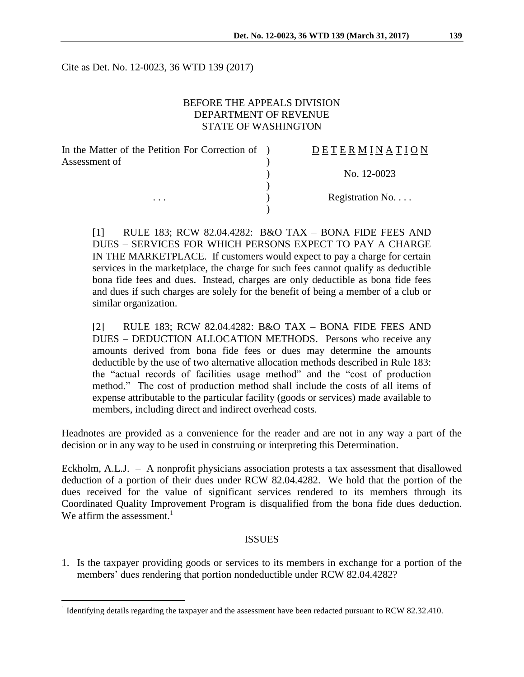Cite as Det. No. 12-0023, 36 WTD 139 (2017)

### BEFORE THE APPEALS DIVISION DEPARTMENT OF REVENUE STATE OF WASHINGTON

| In the Matter of the Petition For Correction of ) | <b>DETERMINATION</b> |
|---------------------------------------------------|----------------------|
| Assessment of                                     |                      |
|                                                   | No. 12-0023          |
|                                                   |                      |
| $\cdots$                                          | Registration No      |
|                                                   |                      |

[1] RULE 183; RCW 82.04.4282: B&O TAX – BONA FIDE FEES AND DUES – SERVICES FOR WHICH PERSONS EXPECT TO PAY A CHARGE IN THE MARKETPLACE. If customers would expect to pay a charge for certain services in the marketplace, the charge for such fees cannot qualify as deductible bona fide fees and dues. Instead, charges are only deductible as bona fide fees and dues if such charges are solely for the benefit of being a member of a club or similar organization.

[2] RULE 183; RCW 82.04.4282: B&O TAX – BONA FIDE FEES AND DUES – DEDUCTION ALLOCATION METHODS. Persons who receive any amounts derived from bona fide fees or dues may determine the amounts deductible by the use of two alternative allocation methods described in Rule 183: the "actual records of facilities usage method" and the "cost of production method." The cost of production method shall include the costs of all items of expense attributable to the particular facility (goods or services) made available to members, including direct and indirect overhead costs.

Headnotes are provided as a convenience for the reader and are not in any way a part of the decision or in any way to be used in construing or interpreting this Determination.

Eckholm, A.L.J. – A nonprofit physicians association protests a tax assessment that disallowed deduction of a portion of their dues under RCW 82.04.4282. We hold that the portion of the dues received for the value of significant services rendered to its members through its Coordinated Quality Improvement Program is disqualified from the bona fide dues deduction. We affirm the assessment.<sup>1</sup>

#### ISSUES

1. Is the taxpayer providing goods or services to its members in exchange for a portion of the members' dues rendering that portion nondeductible under RCW 82.04.4282?

<sup>&</sup>lt;sup>1</sup> Identifying details regarding the taxpayer and the assessment have been redacted pursuant to RCW 82.32.410.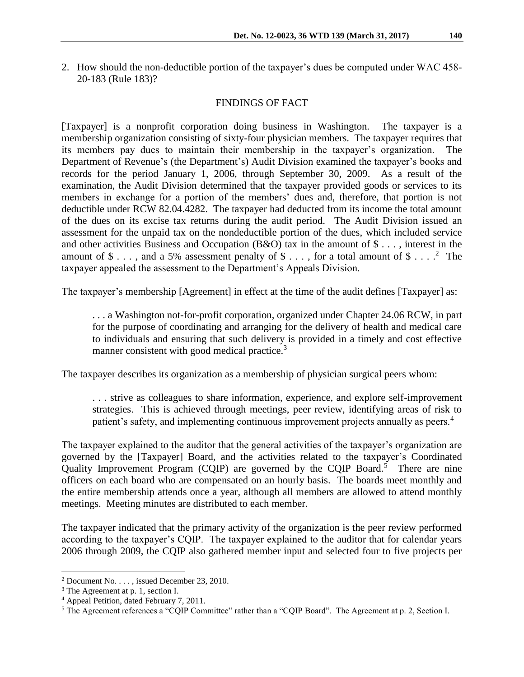2. How should the non-deductible portion of the taxpayer's dues be computed under WAC 458- 20-183 (Rule 183)?

### FINDINGS OF FACT

[Taxpayer] is a nonprofit corporation doing business in Washington. The taxpayer is a membership organization consisting of sixty-four physician members. The taxpayer requires that its members pay dues to maintain their membership in the taxpayer's organization. The Department of Revenue's (the Department's) Audit Division examined the taxpayer's books and records for the period January 1, 2006, through September 30, 2009. As a result of the examination, the Audit Division determined that the taxpayer provided goods or services to its members in exchange for a portion of the members' dues and, therefore, that portion is not deductible under RCW 82.04.4282. The taxpayer had deducted from its income the total amount of the dues on its excise tax returns during the audit period. The Audit Division issued an assessment for the unpaid tax on the nondeductible portion of the dues, which included service and other activities Business and Occupation (B&O) tax in the amount of \$ . . . , interest in the amount of  $\$\ldots$ , and a 5% assessment penalty of  $\$\ldots$ , for a total amount of  $\$\ldots$ .<sup>2</sup> The taxpayer appealed the assessment to the Department's Appeals Division.

The taxpayer's membership [Agreement] in effect at the time of the audit defines [Taxpayer] as:

. . . a Washington not-for-profit corporation, organized under Chapter 24.06 RCW, in part for the purpose of coordinating and arranging for the delivery of health and medical care to individuals and ensuring that such delivery is provided in a timely and cost effective manner consistent with good medical practice.<sup>3</sup>

The taxpayer describes its organization as a membership of physician surgical peers whom:

. . . strive as colleagues to share information, experience, and explore self-improvement strategies. This is achieved through meetings, peer review, identifying areas of risk to patient's safety, and implementing continuous improvement projects annually as peers.<sup>4</sup>

The taxpayer explained to the auditor that the general activities of the taxpayer's organization are governed by the [Taxpayer] Board, and the activities related to the taxpayer's Coordinated Quality Improvement Program (CQIP) are governed by the CQIP Board.<sup>5</sup> There are nine officers on each board who are compensated on an hourly basis. The boards meet monthly and the entire membership attends once a year, although all members are allowed to attend monthly meetings. Meeting minutes are distributed to each member.

The taxpayer indicated that the primary activity of the organization is the peer review performed according to the taxpayer's CQIP. The taxpayer explained to the auditor that for calendar years 2006 through 2009, the CQIP also gathered member input and selected four to five projects per

<sup>&</sup>lt;sup>2</sup> Document No.  $\dots$ , issued December 23, 2010.

<sup>3</sup> The Agreement at p. 1, section I.

<sup>4</sup> Appeal Petition, dated February 7, 2011.

<sup>5</sup> The Agreement references a "CQIP Committee" rather than a "CQIP Board". The Agreement at p. 2, Section I.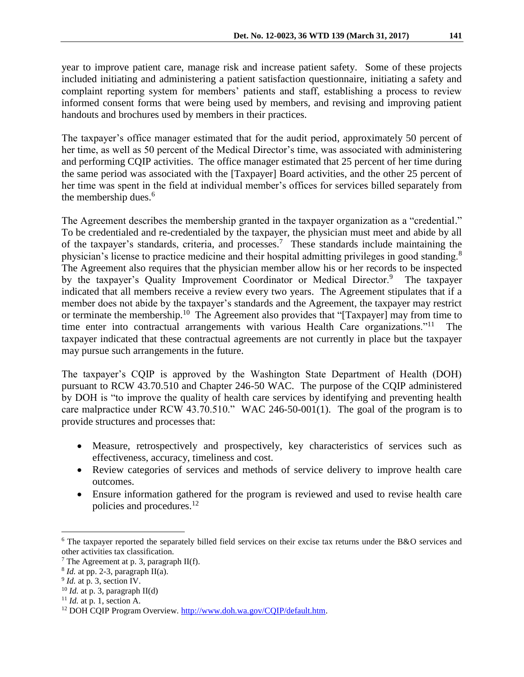year to improve patient care, manage risk and increase patient safety. Some of these projects included initiating and administering a patient satisfaction questionnaire, initiating a safety and complaint reporting system for members' patients and staff, establishing a process to review informed consent forms that were being used by members, and revising and improving patient handouts and brochures used by members in their practices.

The taxpayer's office manager estimated that for the audit period, approximately 50 percent of her time, as well as 50 percent of the Medical Director's time, was associated with administering and performing CQIP activities. The office manager estimated that 25 percent of her time during the same period was associated with the [Taxpayer] Board activities, and the other 25 percent of her time was spent in the field at individual member's offices for services billed separately from the membership dues.<sup>6</sup>

The Agreement describes the membership granted in the taxpayer organization as a "credential." To be credentialed and re-credentialed by the taxpayer, the physician must meet and abide by all of the taxpayer's standards, criteria, and processes.<sup>7</sup> These standards include maintaining the physician's license to practice medicine and their hospital admitting privileges in good standing.<sup>8</sup> The Agreement also requires that the physician member allow his or her records to be inspected by the taxpayer's Quality Improvement Coordinator or Medical Director.<sup>9</sup> The taxpayer indicated that all members receive a review every two years. The Agreement stipulates that if a member does not abide by the taxpayer's standards and the Agreement, the taxpayer may restrict or terminate the membership.<sup>10</sup> The Agreement also provides that "[Taxpayer] may from time to time enter into contractual arrangements with various Health Care organizations."<sup>11</sup> taxpayer indicated that these contractual agreements are not currently in place but the taxpayer may pursue such arrangements in the future.

The taxpayer's CQIP is approved by the Washington State Department of Health (DOH) pursuant to RCW 43.70.510 and Chapter 246-50 WAC. The purpose of the CQIP administered by DOH is "to improve the quality of health care services by identifying and preventing health care malpractice under RCW 43.70.510." WAC 246-50-001(1). The goal of the program is to provide structures and processes that:

- Measure, retrospectively and prospectively, key characteristics of services such as effectiveness, accuracy, timeliness and cost.
- Review categories of services and methods of service delivery to improve health care outcomes.
- Ensure information gathered for the program is reviewed and used to revise health care policies and procedures.<sup>12</sup>

 $6$  The taxpayer reported the separately billed field services on their excise tax returns under the B&O services and other activities tax classification.

<sup>&</sup>lt;sup>7</sup> The Agreement at p. 3, paragraph II(f).

 $8$  *Id.* at pp. 2-3, paragraph II(a).

 $9$  *Id.* at p. 3, section IV.

 $10$  *Id.* at p. 3, paragraph II(d)

<sup>11</sup> *Id.* at p. 1, section A.

<sup>&</sup>lt;sup>12</sup> DOH CQIP Program Overview. [http://www.doh.wa.gov/CQIP/default.htm.](http://www.doh.wa.gov/CQIP/default.htm)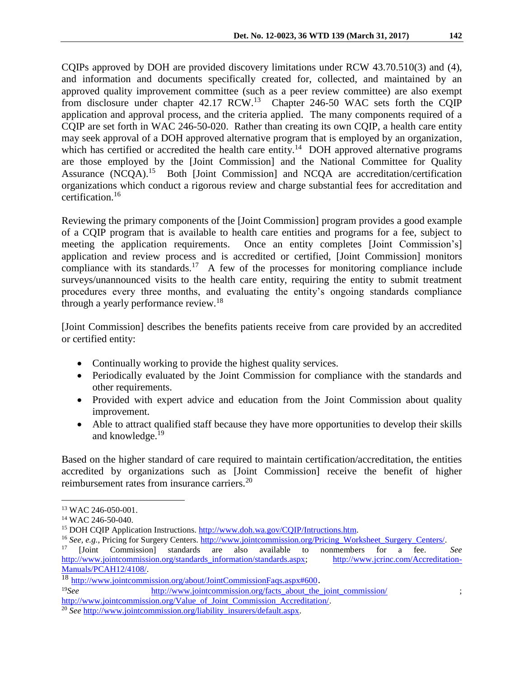CQIPs approved by DOH are provided discovery limitations under RCW 43.70.510(3) and (4), and information and documents specifically created for, collected, and maintained by an approved quality improvement committee (such as a peer review committee) are also exempt from disclosure under chapter  $42.17$  RCW.<sup>13</sup> Chapter 246-50 WAC sets forth the CQIP application and approval process, and the criteria applied. The many components required of a CQIP are set forth in WAC 246-50-020. Rather than creating its own CQIP, a health care entity may seek approval of a DOH approved alternative program that is employed by an organization, which has certified or accredited the health care entity.<sup>14</sup> DOH approved alternative programs are those employed by the [Joint Commission] and the National Committee for Quality Assurance (NCQA).<sup>15</sup> Both [Joint Commission] and NCQA are accreditation/certification organizations which conduct a rigorous review and charge substantial fees for accreditation and certification.<sup>16</sup>

Reviewing the primary components of the [Joint Commission] program provides a good example of a CQIP program that is available to health care entities and programs for a fee, subject to meeting the application requirements. Once an entity completes [Joint Commission's] application and review process and is accredited or certified, [Joint Commission] monitors compliance with its standards.<sup>17</sup> A few of the processes for monitoring compliance include surveys/unannounced visits to the health care entity, requiring the entity to submit treatment procedures every three months, and evaluating the entity's ongoing standards compliance through a yearly performance review.<sup>18</sup>

[Joint Commission] describes the benefits patients receive from care provided by an accredited or certified entity:

- Continually working to provide the highest quality services.
- Periodically evaluated by the Joint Commission for compliance with the standards and other requirements.
- Provided with expert advice and education from the Joint Commission about quality improvement.
- Able to attract qualified staff because they have more opportunities to develop their skills and knowledge.<sup>19</sup>

Based on the higher standard of care required to maintain certification/accreditation, the entities accredited by organizations such as [Joint Commission] receive the benefit of higher reimbursement rates from insurance carriers.<sup>20</sup>

<sup>13</sup> WAC 246-050-001.

<sup>14</sup> WAC 246-50-040.

<sup>15</sup> DOH CQIP Application Instructions. [http://www.doh.wa.gov/CQIP/Intructions.htm.](http://www.doh.wa.gov/CQIP/Intructions.htm)

<sup>&</sup>lt;sup>16</sup> See, e.g., Pricing for Surgery Centers. [http://www.jointcommission.org/Pricing\\_Worksheet\\_Surgery\\_Centers/.](http://www.jointcommission.org/Pricing_Worksheet_Surgery_Centers/)

<sup>17</sup> [Joint Commission] standards are also available to nonmembers for a fee. *See* [http://www.jointcommission.org/standards\\_information/standards.aspx;](http://www.jointcommission.org/standards_information/standards.aspx) [http://www.jcrinc.com/Accreditation-](http://www.jcrinc.com/Accreditation-Manuals/PCAH12/4108/)[Manuals/PCAH12/4108/.](http://www.jcrinc.com/Accreditation-Manuals/PCAH12/4108/)

<sup>18</sup> <http://www.jointcommission.org/about/JointCommissionFaqs.aspx#600>.

<sup>&</sup>lt;sup>19</sup>See [http://www.jointcommission.org/facts\\_about\\_the\\_joint\\_commission/](http://www.jointcommission.org/facts_about_the_joint_commission/) ; [http://www.jointcommission.org/Value\\_of\\_Joint\\_Commission\\_Accreditation/.](http://www.jointcommission.org/Value_of_Joint_Commission_Accreditation/)

<sup>&</sup>lt;sup>20</sup> *See* http://www.jointcommission.org/liability insurers/default.aspx.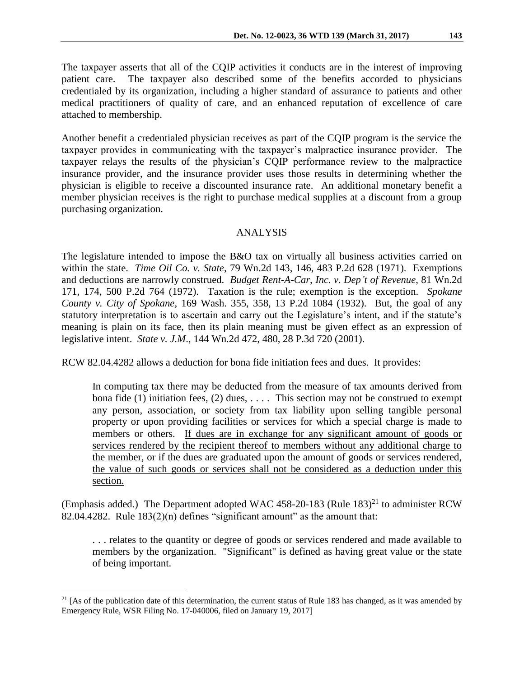The taxpayer asserts that all of the CQIP activities it conducts are in the interest of improving patient care. The taxpayer also described some of the benefits accorded to physicians credentialed by its organization, including a higher standard of assurance to patients and other medical practitioners of quality of care, and an enhanced reputation of excellence of care attached to membership.

Another benefit a credentialed physician receives as part of the CQIP program is the service the taxpayer provides in communicating with the taxpayer's malpractice insurance provider. The taxpayer relays the results of the physician's CQIP performance review to the malpractice insurance provider, and the insurance provider uses those results in determining whether the physician is eligible to receive a discounted insurance rate. An additional monetary benefit a member physician receives is the right to purchase medical supplies at a discount from a group purchasing organization.

## ANALYSIS

The legislature intended to impose the B&O tax on virtually all business activities carried on within the state. *Time Oil Co. v. State*, 79 Wn.2d 143, 146, 483 P.2d 628 (1971). Exemptions and deductions are narrowly construed. *Budget Rent-A-Car, Inc. v. Dep't of Revenue*, 81 Wn.2d 171, 174, 500 P.2d 764 (1972). Taxation is the rule; exemption is the exception. *Spokane County v. City of Spokane*, 169 Wash. 355, 358, 13 P.2d 1084 (1932). But, the goal of any statutory interpretation is to ascertain and carry out the Legislature's intent, and if the statute's meaning is plain on its face, then its plain meaning must be given effect as an expression of legislative intent. *State v. J.M*., 144 Wn.2d 472, 480, 28 P.3d 720 (2001).

RCW 82.04.4282 allows a deduction for bona fide initiation fees and dues. It provides:

In computing tax there may be deducted from the measure of tax amounts derived from bona fide (1) initiation fees, (2) dues,  $\dots$ . This section may not be construed to exempt any person, association, or society from tax liability upon selling tangible personal property or upon providing facilities or services for which a special charge is made to members or others. If dues are in exchange for any significant amount of goods or services rendered by the recipient thereof to members without any additional charge to the member, or if the dues are graduated upon the amount of goods or services rendered, the value of such goods or services shall not be considered as a deduction under this section.

(Emphasis added.) The Department adopted WAC 458-20-183 (Rule  $183$ )<sup>21</sup> to administer RCW 82.04.4282. Rule  $183(2)(n)$  defines "significant amount" as the amount that:

. . . relates to the quantity or degree of goods or services rendered and made available to members by the organization. "Significant" is defined as having great value or the state of being important.

<sup>&</sup>lt;sup>21</sup> [As of the publication date of this determination, the current status of Rule 183 has changed, as it was amended by Emergency Rule, WSR Filing No. 17-040006, filed on January 19, 2017]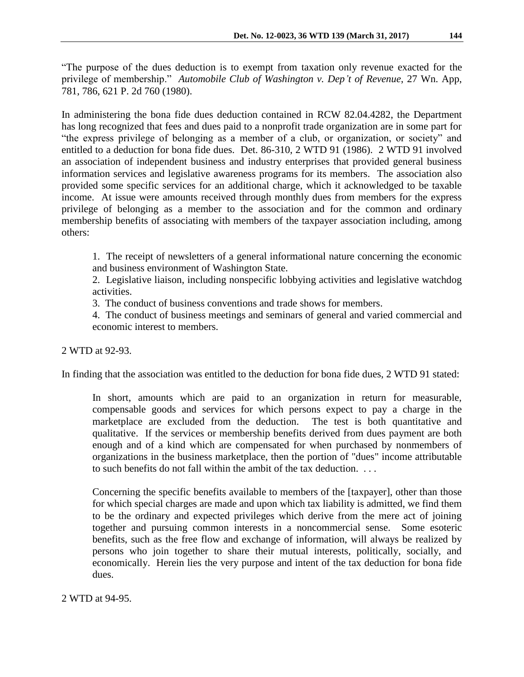"The purpose of the dues deduction is to exempt from taxation only revenue exacted for the privilege of membership." *Automobile Club of Washington v. Dep't of Revenue*, 27 Wn. App, 781, 786, 621 P. 2d 760 (1980).

In administering the bona fide dues deduction contained in RCW 82.04.4282, the Department has long recognized that fees and dues paid to a nonprofit trade organization are in some part for "the express privilege of belonging as a member of a club, or organization, or society" and entitled to a deduction for bona fide dues. Det. 86-310, 2 WTD 91 (1986). 2 WTD 91 involved an association of independent business and industry enterprises that provided general business information services and legislative awareness programs for its members. The association also provided some specific services for an additional charge, which it acknowledged to be taxable income. At issue were amounts received through monthly dues from members for the express privilege of belonging as a member to the association and for the common and ordinary membership benefits of associating with members of the taxpayer association including, among others:

1. The receipt of newsletters of a general informational nature concerning the economic and business environment of Washington State.

2. Legislative liaison, including nonspecific lobbying activities and legislative watchdog activities.

3. The conduct of business conventions and trade shows for members.

4. The conduct of business meetings and seminars of general and varied commercial and economic interest to members.

2 WTD at 92-93.

In finding that the association was entitled to the deduction for bona fide dues, 2 WTD 91 stated:

In short, amounts which are paid to an organization in return for measurable, compensable goods and services for which persons expect to pay a charge in the marketplace are excluded from the deduction. The test is both quantitative and qualitative. If the services or membership benefits derived from dues payment are both enough and of a kind which are compensated for when purchased by nonmembers of organizations in the business marketplace, then the portion of "dues" income attributable to such benefits do not fall within the ambit of the tax deduction. . . .

Concerning the specific benefits available to members of the [taxpayer], other than those for which special charges are made and upon which tax liability is admitted, we find them to be the ordinary and expected privileges which derive from the mere act of joining together and pursuing common interests in a noncommercial sense. Some esoteric benefits, such as the free flow and exchange of information, will always be realized by persons who join together to share their mutual interests, politically, socially, and economically. Herein lies the very purpose and intent of the tax deduction for bona fide dues.

2 WTD at 94-95.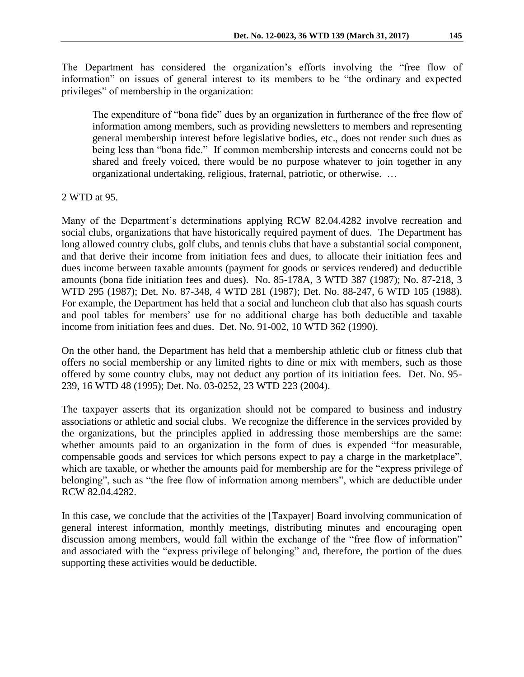The Department has considered the organization's efforts involving the "free flow of information" on issues of general interest to its members to be "the ordinary and expected privileges" of membership in the organization:

The expenditure of "bona fide" dues by an organization in furtherance of the free flow of information among members, such as providing newsletters to members and representing general membership interest before legislative bodies, etc., does not render such dues as being less than "bona fide." If common membership interests and concerns could not be shared and freely voiced, there would be no purpose whatever to join together in any organizational undertaking, religious, fraternal, patriotic, or otherwise. …

### 2 WTD at 95.

Many of the Department's determinations applying RCW 82.04.4282 involve recreation and social clubs, organizations that have historically required payment of dues. The Department has long allowed country clubs, golf clubs, and tennis clubs that have a substantial social component, and that derive their income from initiation fees and dues, to allocate their initiation fees and dues income between taxable amounts (payment for goods or services rendered) and deductible amounts (bona fide initiation fees and dues). No. 85-178A, 3 WTD 387 (1987); No. 87-218, 3 WTD 295 (1987); Det. No. 87-348, 4 WTD 281 (1987); Det. No. 88-247, 6 WTD 105 (1988). For example, the Department has held that a social and luncheon club that also has squash courts and pool tables for members' use for no additional charge has both deductible and taxable income from initiation fees and dues. Det. No. 91-002, 10 WTD 362 (1990).

On the other hand, the Department has held that a membership athletic club or fitness club that offers no social membership or any limited rights to dine or mix with members, such as those offered by some country clubs, may not deduct any portion of its initiation fees. Det. No. 95- 239, 16 WTD 48 (1995); Det. No. 03-0252, 23 WTD 223 (2004).

The taxpayer asserts that its organization should not be compared to business and industry associations or athletic and social clubs. We recognize the difference in the services provided by the organizations, but the principles applied in addressing those memberships are the same: whether amounts paid to an organization in the form of dues is expended "for measurable, compensable goods and services for which persons expect to pay a charge in the marketplace", which are taxable, or whether the amounts paid for membership are for the "express privilege of belonging", such as "the free flow of information among members", which are deductible under RCW 82.04.4282.

In this case, we conclude that the activities of the [Taxpayer] Board involving communication of general interest information, monthly meetings, distributing minutes and encouraging open discussion among members, would fall within the exchange of the "free flow of information" and associated with the "express privilege of belonging" and, therefore, the portion of the dues supporting these activities would be deductible.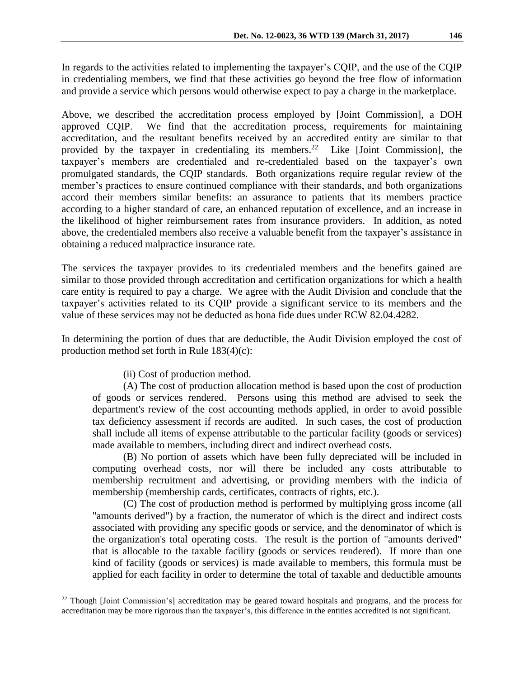In regards to the activities related to implementing the taxpayer's CQIP, and the use of the CQIP in credentialing members, we find that these activities go beyond the free flow of information and provide a service which persons would otherwise expect to pay a charge in the marketplace.

Above, we described the accreditation process employed by [Joint Commission], a DOH approved CQIP. We find that the accreditation process, requirements for maintaining accreditation, and the resultant benefits received by an accredited entity are similar to that provided by the taxpayer in credentialing its members.<sup>22</sup> Like [Joint Commission], the taxpayer's members are credentialed and re-credentialed based on the taxpayer's own promulgated standards, the CQIP standards. Both organizations require regular review of the member's practices to ensure continued compliance with their standards, and both organizations accord their members similar benefits: an assurance to patients that its members practice according to a higher standard of care, an enhanced reputation of excellence, and an increase in the likelihood of higher reimbursement rates from insurance providers. In addition, as noted above, the credentialed members also receive a valuable benefit from the taxpayer's assistance in obtaining a reduced malpractice insurance rate.

The services the taxpayer provides to its credentialed members and the benefits gained are similar to those provided through accreditation and certification organizations for which a health care entity is required to pay a charge. We agree with the Audit Division and conclude that the taxpayer's activities related to its CQIP provide a significant service to its members and the value of these services may not be deducted as bona fide dues under RCW 82.04.4282.

In determining the portion of dues that are deductible, the Audit Division employed the cost of production method set forth in Rule 183(4)(c):

(ii) Cost of production method.

 $\overline{a}$ 

(A) The cost of production allocation method is based upon the cost of production of goods or services rendered. Persons using this method are advised to seek the department's review of the cost accounting methods applied, in order to avoid possible tax deficiency assessment if records are audited. In such cases, the cost of production shall include all items of expense attributable to the particular facility (goods or services) made available to members, including direct and indirect overhead costs.

(B) No portion of assets which have been fully depreciated will be included in computing overhead costs, nor will there be included any costs attributable to membership recruitment and advertising, or providing members with the indicia of membership (membership cards, certificates, contracts of rights, etc.).

(C) The cost of production method is performed by multiplying gross income (all "amounts derived") by a fraction, the numerator of which is the direct and indirect costs associated with providing any specific goods or service, and the denominator of which is the organization's total operating costs. The result is the portion of "amounts derived" that is allocable to the taxable facility (goods or services rendered). If more than one kind of facility (goods or services) is made available to members, this formula must be applied for each facility in order to determine the total of taxable and deductible amounts

<sup>&</sup>lt;sup>22</sup> Though [Joint Commission's] accreditation may be geared toward hospitals and programs, and the process for accreditation may be more rigorous than the taxpayer's, this difference in the entities accredited is not significant.